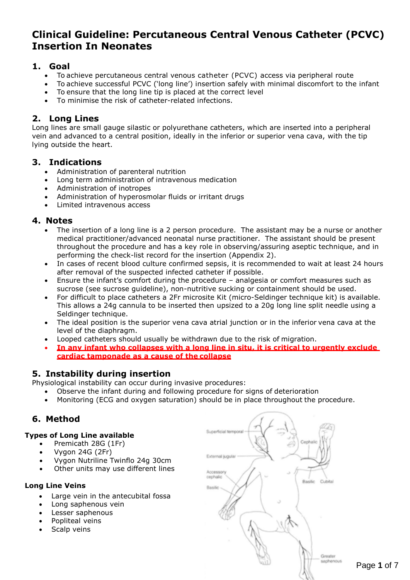## **Clinical Guideline: Percutaneous Central Venous Catheter (PCVC) Insertion In Neonates**

## **1. Goal**

- To achieve percutaneous central venous catheter (PCVC) access via peripheral route
- To achieve successful PCVC ('long line') insertion safely with minimal discomfort to the infant
- To ensure that the long line tip is placed at the correct level
- To minimise the risk of catheter-related infections.

## **2. Long Lines**

Long lines are small gauge silastic or polyurethane catheters, which are inserted into a peripheral vein and advanced to a central position, ideally in the inferior or superior vena cava, with the tip lying outside the heart.

## **3. Indications**

- Administration of parenteral nutrition
- Long term administration of intravenous medication
- Administration of inotropes
- Administration of hyperosmolar fluids or irritant drugs
- Limited intravenous access

### **4. Notes**

- The insertion of a long line is a 2 person procedure. The assistant may be a nurse or another medical practitioner/advanced neonatal nurse practitioner. The assistant should be present throughout the procedure and has a key role in observing/assuring aseptic technique, and in performing the check-list record for the insertion (Appendix 2).
- In cases of recent blood culture confirmed sepsis, it is recommended to wait at least 24 hours after removal of the suspected infected catheter if possible.
- Ensure the infant's comfort during the procedure analgesia or comfort measures such as sucrose (see sucrose guideline), non-nutritive sucking or containment should be used.
- For difficult to place catheters a 2Fr microsite Kit (micro-Seldinger technique kit) is available. This allows a 24g cannula to be inserted then upsized to a 20g long line split needle using a Seldinger technique.
- The ideal position is the superior vena cava atrial junction or in the inferior vena cava at the level of the diaphragm.
- Looped catheters should usually be withdrawn due to the risk of migration.
- **In any infant who collapses with a long line in situ, it is critical to urgently exclude cardiac tamponade as a cause of the collapse**

## **5. Instability during insertion**

Physiological instability can occur during invasive procedures:

- Observe the infant during and following procedure for signs of deterioration
- Monitoring (ECG and oxygen saturation) should be in place throughout the procedure.

## **6. Method**

#### **Types of Long Line available**

- Premicath 28G (1Fr)
- Vygon 24G (2Fr)
- Vygon Nutriline Twinflo 24g 30cm
- Other units may use different lines

#### **Long Line Veins**

- Large vein in the antecubital fossa
- Long saphenous vein
- Lesser saphenous
- Popliteal veins
- Scalp veins

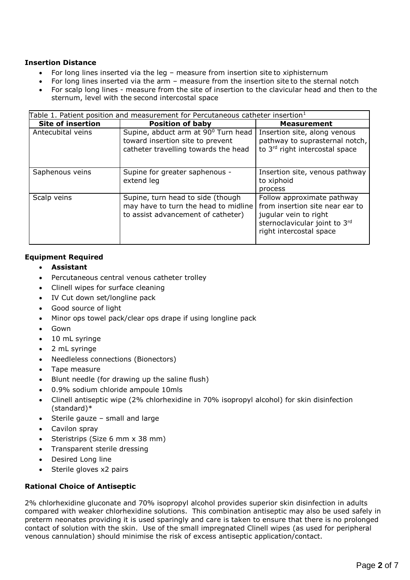#### **Insertion Distance**

- For long lines inserted via the leg measure from insertion site to xiphisternum
- For long lines inserted via the arm measure from the insertion site to the sternal notch
- For scalp long lines measure from the site of insertion to the clavicular head and then to the sternum, level with the second intercostal space

| Table 1. Patient position and measurement for Percutaneous catheter insertion <sup>1</sup> |                                                                                                                 |                                                                                                                                                    |  |  |
|--------------------------------------------------------------------------------------------|-----------------------------------------------------------------------------------------------------------------|----------------------------------------------------------------------------------------------------------------------------------------------------|--|--|
| <b>Site of insertion</b>                                                                   | <b>Position of baby</b>                                                                                         | <b>Measurement</b>                                                                                                                                 |  |  |
| Antecubital veins                                                                          | Supine, abduct arm at 90° Turn head<br>toward insertion site to prevent<br>catheter travelling towards the head | Insertion site, along venous<br>pathway to suprasternal notch,<br>to 3rd right intercostal space                                                   |  |  |
| Saphenous veins                                                                            | Supine for greater saphenous -<br>extend leg                                                                    | Insertion site, venous pathway<br>to xiphoid<br>process                                                                                            |  |  |
| Scalp veins                                                                                | Supine, turn head to side (though<br>may have to turn the head to midline<br>to assist advancement of catheter) | Follow approximate pathway<br>from insertion site near ear to<br>jugular vein to right<br>sternoclavicular joint to 3rd<br>right intercostal space |  |  |

#### **Equipment Required**

- **Assistant**
- Percutaneous central venous catheter trolley
- Clinell wipes for surface cleaning
- IV Cut down set/longline pack
- Good source of light
- Minor ops towel pack/clear ops drape if using longline pack
- Gown
- 10 mL syringe
- 2 mL syringe
- Needleless connections (Bionectors)
- Tape measure
- Blunt needle (for drawing up the saline flush)
- 0.9% sodium chloride ampoule 10mls
- Clinell antiseptic wipe (2% chlorhexidine in 70% isopropyl alcohol) for skin disinfection (standard)\*
- Sterile gauze small and large
- Cavilon spray
- Steristrips (Size 6 mm x 38 mm)
- Transparent sterile dressing
- Desired Long line
- Sterile gloves x2 pairs

#### **Rational Choice of Antiseptic**

2% chlorhexidine gluconate and 70% isopropyl alcohol provides superior skin disinfection in adults compared with weaker chlorhexidine solutions. This combination antiseptic may also be used safely in preterm neonates providing it is used sparingly and care is taken to ensure that there is no prolonged contact of solution with the skin. Use of the small impregnated Clinell wipes (as used for peripheral venous cannulation) should minimise the risk of excess antiseptic application/contact.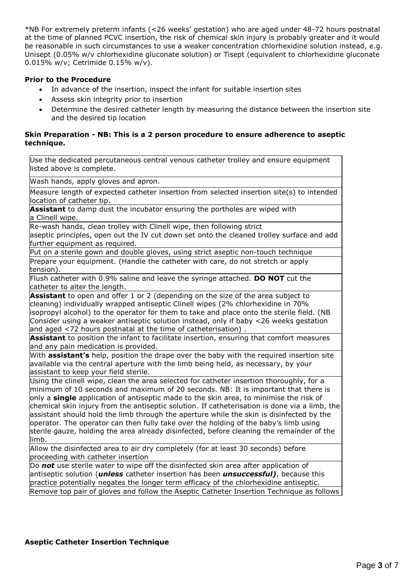\*NB For extremely preterm infants (<26 weeks' gestation) who are aged under 48-72 hours postnatal at the time of planned PCVC insertion, the risk of chemical skin injury is probably greater and it would be reasonable in such circumstances to use a weaker concentration chlorhexidine solution instead, e.g. Unisept (0.05% w/v chlorhexidine gluconate solution) or Tisept (equivalent to chlorhexidine gluconate 0.015% w/v; Cetrimide 0.15% w/v).

#### **Prior to the Procedure**

- In advance of the insertion, inspect the infant for suitable insertion sites
- Assess skin integrity prior to insertion
- Determine the desired catheter length by measuring the distance between the insertion site and the desired tip location

#### **Skin Preparation - NB: This is a 2 person procedure to ensure adherence to aseptic technique.**

Use the dedicated percutaneous central venous catheter trolley and ensure equipment listed above is complete.

Wash hands, apply gloves and apron.

Measure length of expected catheter insertion from selected insertion site(s) to intended location of catheter tip.

**Assistant** to damp dust the incubator ensuring the portholes are wiped with a Clinell wipe.

Re-wash hands, clean trolley with Clinell wipe, then following strict

aseptic principles, open out the IV cut down set onto the cleaned trolley surface and add further equipment as required.

Put on a sterile gown and double gloves, using strict aseptic non-touch technique

Prepare your equipment. (Handle the catheter with care, do not stretch or apply tension).

Flush catheter with 0.9% saline and leave the syringe attached. **DO NOT** cut the catheter to alter the length.

**Assistant** to open and offer 1 or 2 (depending on the size of the area subject to cleaning) individually wrapped antiseptic Clinell wipes (2% chlorhexidine in 70% isopropyl alcohol) to the operator for them to take and place onto the sterile field. (NB Consider using a weaker antiseptic solution instead, only if baby <26 weeks gestation and aged <72 hours postnatal at the time of catheterisation) .

**Assistant** to position the infant to facilitate insertion, ensuring that comfort measures and any pain medication is provided.

With **assistant's** help, position the drape over the baby with the required insertion site available via the central aperture with the limb being held, as necessary, by your assistant to keep your field sterile.

Using the clinell wipe, clean the area selected for catheter insertion thoroughly, for a minimum of 10 seconds and maximum of 20 seconds. NB: It is important that there is only a **single** application of antiseptic made to the skin area, to minimise the risk of chemical skin injury from the antiseptic solution. If catheterisation is done via a limb, the assistant should hold the limb through the aperture while the skin is disinfected by the operator. The operator can then fully take over the holding of the baby's limb using sterile gauze, holding the area already disinfected, before cleaning the remainder of the limb.

Allow the disinfected area to air dry completely (for at least 30 seconds) before proceeding with catheter insertion

Do *not* use sterile water to wipe off the disinfected skin area after application of antiseptic solution (*unless* catheter insertion has been *unsuccessful)*, because this practice potentially negates the longer term efficacy of the chlorhexidine antiseptic. Remove top pair of gloves and follow the Aseptic Catheter Insertion Technique as follows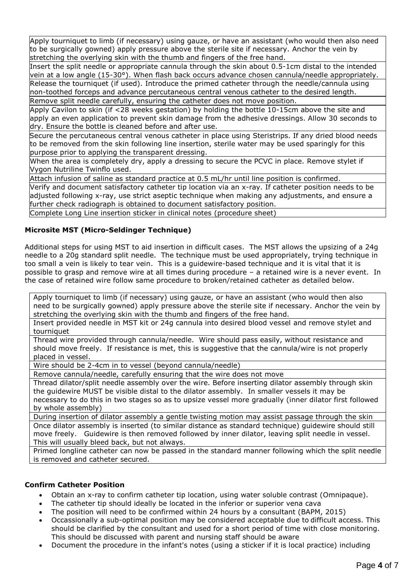Apply tourniquet to limb (if necessary) using gauze, or have an assistant (who would then also need to be surgically gowned) apply pressure above the sterile site if necessary. Anchor the vein by stretching the overlying skin with the thumb and fingers of the free hand.

Insert the split needle or appropriate cannula through the skin about 0.5-1cm distal to the intended vein at a low angle (15-30°). When flash back occurs advance chosen cannula/needle appropriately. Release the tourniquet (if used). Introduce the primed catheter through the needle/cannula using non-toothed forceps and advance percutaneous central venous catheter to the desired length. Remove split needle carefully, ensuring the catheter does not move position.

Apply Cavilon to skin (if <28 weeks gestation) by holding the bottle 10-15cm above the site and apply an even application to prevent skin damage from the adhesive dressings. Allow 30 seconds to dry. Ensure the bottle is cleaned before and after use.

 Secure the percutaneous central venous catheter in place using Steristrips. If any dried blood needs to be removed from the skin following line insertion, sterile water may be used sparingly for this purpose prior to applying the transparent dressing.

When the area is completely dry, apply a dressing to secure the PCVC in place. Remove stylet if Vygon Nutriline Twinflo used.

Attach infusion of saline as standard practice at 0.5 mL/hr until line position is confirmed.

Verify and document satisfactory catheter tip location via an x-ray. If catheter position needs to be adjusted following x-ray, use strict aseptic technique when making any adjustments, and ensure a further check radiograph is obtained to document satisfactory position. Complete Long Line insertion sticker in clinical notes (procedure sheet)

#### **Microsite MST (Micro-Seldinger Technique)**

Additional steps for using MST to aid insertion in difficult cases. The MST allows the upsizing of a 24g needle to a 20g standard split needle. The technique must be used appropriately, trying technique in too small a vein is likely to tear vein. This is a guidewire-based technique and it is vital that it is possible to grasp and remove wire at all times during procedure – a retained wire is a never event. In the case of retained wire follow same procedure to broken/retained catheter as detailed below.

Apply tourniquet to limb (if necessary) using gauze, or have an assistant (who would then also need to be surgically gowned) apply pressure above the sterile site if necessary. Anchor the vein by stretching the overlying skin with the thumb and fingers of the free hand.

Insert provided needle in MST kit or 24g cannula into desired blood vessel and remove stylet and tourniquet

Thread wire provided through cannula/needle. Wire should pass easily, without resistance and should move freely. If resistance is met, this is suggestive that the cannula/wire is not properly placed in vessel.

Wire should be 2-4cm in to vessel (beyond cannula/needle)

Remove cannula/needle, carefully ensuring that the wire does not move

Thread dilator/split needle assembly over the wire. Before inserting dilator assembly through skin the guidewire MUST be visible distal to the dilator assembly. In smaller vessels it may be necessary to do this in two stages so as to upsize vessel more gradually (inner dilator first followed by whole assembly)

During insertion of dilator assembly a gentle twisting motion may assist passage through the skin Once dilator assembly is inserted (to similar distance as standard technique) guidewire should still move freely. Guidewire is then removed followed by inner dilator, leaving split needle in vessel. This will usually bleed back, but not always.

Primed longline catheter can now be passed in the standard manner following which the split needle is removed and catheter secured.

#### **Confirm Catheter Position**

- Obtain an x-ray to confirm catheter tip location, using water soluble contrast (Omnipaque).
- The catheter tip should ideally be located in the inferior or superior vena cava
- The position will need to be confirmed within 24 hours by a consultant (BAPM, 2015)
- Occassionally a sub-optimal position may be considered acceptable due to difficult access. This should be clarified by the consultant and used for a short period of time with close monitoring. This should be discussed with parent and nursing staff should be aware
- Document the procedure in the infant's notes (using a sticker if it is local practice) including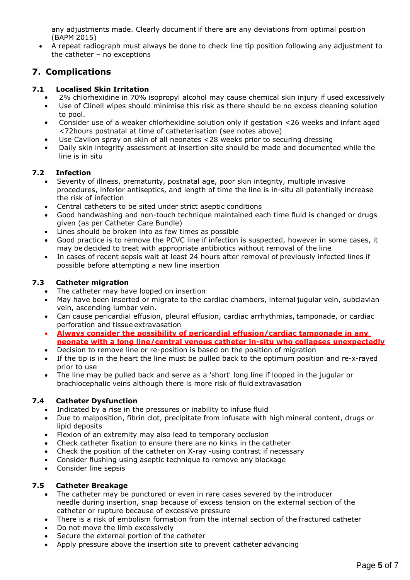any adjustments made. Clearly document if there are any deviations from optimal position (BAPM 2015)

 A repeat radiograph must always be done to check line tip position following any adjustment to the catheter – no exceptions

## **7. Complications**

#### **7.1 Localised Skin Irritation**

- 2% chlorhexidine in 70% isopropyl alcohol may cause chemical skin injury if used excessively
- Use of Clinell wipes should minimise this risk as there should be no excess cleaning solution to pool.
- Consider use of a weaker chlorhexidine solution only if gestation <26 weeks and infant aged <72hours postnatal at time of catheterisation (see notes above)
- Use Cavilon spray on skin of all neonates <28 weeks prior to securing dressing
- Daily skin integrity assessment at insertion site should be made and documented while the line is in situ

#### **7.2 Infection**

- Severity of illness, prematurity, postnatal age, poor skin integrity, multiple invasive procedures, inferior antiseptics, and length of time the line is in-situ all potentially increase the risk of infection
- Central catheters to be sited under strict aseptic conditions
- Good handwashing and non-touch technique maintained each time fluid is changed or drugs given (as per Catheter Care Bundle)
- Lines should be broken into as few times as possible
- Good practice is to remove the PCVC line if infection is suspected, however in some cases, it may be decided to treat with appropriate antibiotics without removal of the line
- In cases of recent sepsis wait at least 24 hours after removal of previously infected lines if possible before attempting a new line insertion

#### **7.3 Catheter migration**

- The catheter may have looped on insertion
- May have been inserted or migrate to the cardiac chambers, internal jugular vein, subclavian vein, ascending lumbar vein.
- Can cause pericardial effusion, pleural effusion, cardiac arrhythmias, tamponade, or cardiac perforation and tissue extravasation
- **Always consider the possibility of pericardial effusion/cardiac tamponade in any neonate with a long line/central venous catheter in-situ who collapses unexpectedly**
- Decision to remove line or re-position is based on the position of migration
- If the tip is in the heart the line must be pulled back to the optimum position and re-x-rayed prior to use
- The line may be pulled back and serve as a 'short' long line if looped in the jugular or brachiocephalic veins although there is more risk of fluid extravasation

#### **7.4 Catheter Dysfunction**

- Indicated by a rise in the pressures or inability to infuse fluid
- Due to malposition, fibrin clot, precipitate from infusate with high mineral content, drugs or lipid deposits
- Flexion of an extremity may also lead to temporary occlusion
- Check catheter fixation to ensure there are no kinks in the catheter
- Check the position of the catheter on X-ray -using contrast if necessary
- Consider flushing using aseptic technique to remove any blockage
- Consider line sepsis

#### **7.5 Catheter Breakage**

- The catheter may be punctured or even in rare cases severed by the introducer needle during insertion, snap because of excess tension on the external section of the catheter or rupture because of excessive pressure
- There is a risk of embolism formation from the internal section of the fractured catheter
- Do not move the limb excessively
- Secure the external portion of the catheter
- Apply pressure above the insertion site to prevent catheter advancing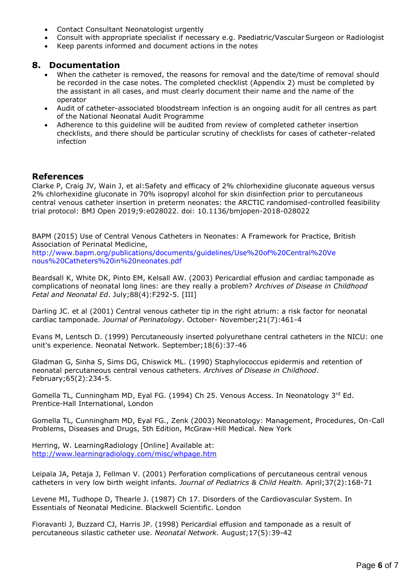- Contact Consultant Neonatologist urgently
- Consult with appropriate specialist if necessary e.g. Paediatric/Vascular Surgeon or Radiologist
- Keep parents informed and document actions in the notes

#### **8. Documentation**

- When the catheter is removed, the reasons for removal and the date/time of removal should be recorded in the case notes. The completed checklist (Appendix 2) must be completed by the assistant in all cases, and must clearly document their name and the name of the operator
- Audit of catheter-associated bloodstream infection is an ongoing audit for all centres as part of the National Neonatal Audit Programme
- Adherence to this guideline will be audited from review of completed catheter insertion checklists, and there should be particular scrutiny of checklists for cases of catheter-related infection

#### **References**

Clarke P, Craig JV, Wain J, et al:Safety and efficacy of 2% chlorhexidine gluconate aqueous versus 2% chlorhexidine gluconate in 70% isopropyl alcohol for skin disinfection prior to percutaneous central venous catheter insertion in preterm neonates: the ARCTIC randomised-controlled feasibility trial protocol: BMJ Open 2019;9:e028022. doi: 10.1136/bmjopen-2018-028022

BAPM (2015) Use of Central Venous Catheters in Neonates: A Framework for Practice, British Association of Perinatal Medicine,

[http://www.bapm.org/publications/documents/guidelines/Use%20of%20Central%20Ve](http://www.bapm.org/publications/documents/guidelines/Use%20of%20Central%20Venous%20Catheters%20in%20neonates.pdf) [nous%20Catheters%20in%20neonates.pdf](http://www.bapm.org/publications/documents/guidelines/Use%20of%20Central%20Venous%20Catheters%20in%20neonates.pdf)

Beardsall K, White DK, Pinto EM, Kelsall AW. (2003) Pericardial effusion and cardiac tamponade as complications of neonatal long lines: are they really a problem? *Archives of Disease in Childhood Fetal and Neonatal Ed*. July;88(4):F292-5. [III]

Darling JC. et al (2001) Central venous catheter tip in the right atrium: a risk factor for neonatal cardiac tamponade. *Journal of Perinatology*. October- November;21(7):461-4

Evans M, Lentsch D. (1999) Percutaneously inserted polyurethane central catheters in the NICU: one unit's experience. Neonatal Network. September;18(6):37-46

Gladman G, Sinha S, Sims DG, Chiswick ML. (1990) Staphylococcus epidermis and retention of neonatal percutaneous central venous catheters. *Archives of Disease in Childhood*. February;65(2):234-5.

Gomella TL, Cunningham MD, Eyal FG. (1994) Ch 25. Venous Access. In Neonatology 3rd Ed. Prentice-Hall International, London

Gomella TL, Cunningham MD, Eyal FG., Zenk (2003) Neonatology: Management, Procedures, On-Call Problems, Diseases and Drugs, 5th Edition, McGraw-Hill Medical. New York

Herring, W. LearningRadiology [Online] Available at: <http://www.learningradiology.com/misc/whpage.htm>

Leipala JA, Petaja J, Fellman V. (2001) Perforation complications of percutaneous central venous catheters in very low birth weight infants. *Journal of Pediatrics & Child Health.* April;37(2):168-71

Levene MI, Tudhope D, Thearle J. (1987) Ch 17. Disorders of the Cardiovascular System. In Essentials of Neonatal Medicine. Blackwell Scientific. London

Fioravanti J, Buzzard CJ, Harris JP. (1998) Pericardial effusion and tamponade as a result of percutaneous silastic catheter use. *Neonatal Network.* August;17(5):39-42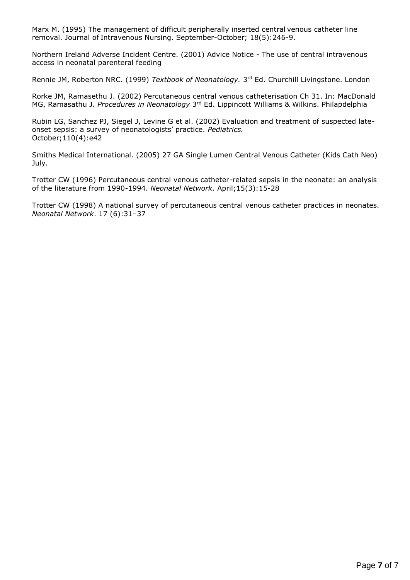Marx M. (1995) The management of difficult peripherally inserted central venous catheter line removal. Journal of Intravenous Nursing. September-October; 18(5):246-9.

Northern Ireland Adverse Incident Centre. (2001) Advice Notice - The use of central intravenous access in neonatal parenteral feeding

Rennie JM, Roberton NRC. (1999) *Textbook of Neonatology.* 3<sup>rd</sup> Ed. Churchill Livingstone. London

Rorke JM, Ramasethu J. (2002) Percutaneous central venous catheterisation Ch 31. In: MacDonald MG, Ramasathu J. *Procedures in Neonatology* 3<sup>rd</sup> Ed. Lippincott Williams & Wilkins. Philapdelphia

Rubin LG, Sanchez PJ, Siegel J, Levine G et al. (2002) Evaluation and treatment of suspected lateonset sepsis: a survey of neonatologists' practice. *Pediatrics.* October;110(4):e42

Smiths Medical International. (2005) 27 GA Single Lumen Central Venous Catheter (Kids Cath Neo) July.

Trotter CW (1996) Percutaneous central venous catheter-related sepsis in the neonate: an analysis of the literature from 1990-1994. *Neonatal Network.* April;15(3):15-28

Trotter CW (1998) A national survey of percutaneous central venous catheter practices in neonates. *Neonatal Network*. 17 (6):31–37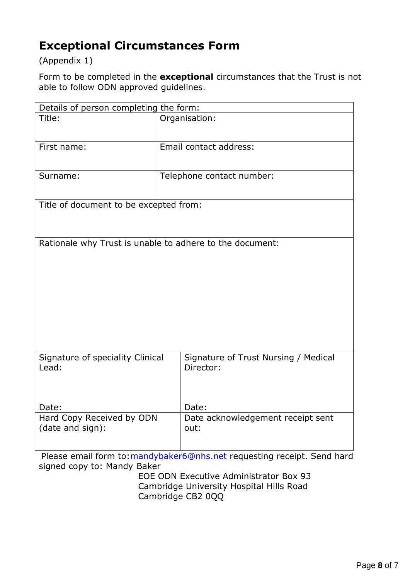# **Exceptional Circumstances Form**

(Appendix 1)

Form to be completed in the **exceptional** circumstances that the Trust is not able to follow ODN approved guidelines.

| Details of person completing the form:                   |                                                   |  |  |
|----------------------------------------------------------|---------------------------------------------------|--|--|
| Title:                                                   | Organisation:                                     |  |  |
| First name:                                              | Email contact address:                            |  |  |
| Surname:                                                 | Telephone contact number:                         |  |  |
| Title of document to be excepted from:                   |                                                   |  |  |
| Rationale why Trust is unable to adhere to the document: |                                                   |  |  |
| Signature of speciality Clinical<br>Lead:                | Signature of Trust Nursing / Medical<br>Director: |  |  |
| Date:                                                    | Date:                                             |  |  |
| Hard Copy Received by ODN<br>(date and sign):            | Date acknowledgement receipt sent<br>out:         |  |  |

Please email form to[:mandybaker6@nhs.net](mailto:mandybaker6@nhs.net) requesting receipt. Send hard signed copy to: Mandy Baker

> EOE ODN Executive Administrator Box 93 Cambridge University Hospital Hills Road Cambridge CB2 0QQ